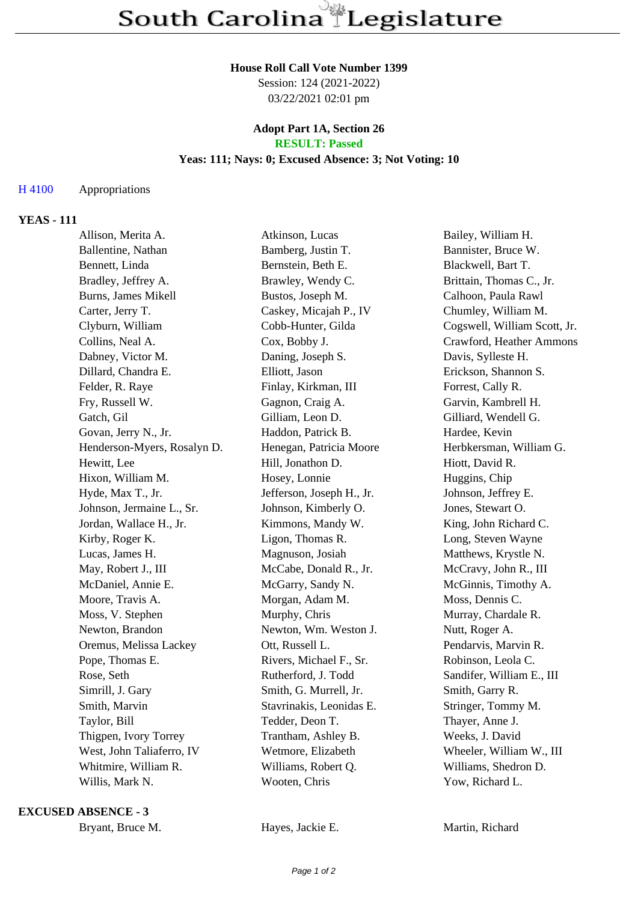#### **House Roll Call Vote Number 1399**

Session: 124 (2021-2022) 03/22/2021 02:01 pm

#### **Adopt Part 1A, Section 26 RESULT: Passed**

## **Yeas: 111; Nays: 0; Excused Absence: 3; Not Voting: 10**

# H 4100 Appropriations

# **YEAS - 111**

| Allison, Merita A.          | Atkinson, Lucas           | Bailey, William H.           |
|-----------------------------|---------------------------|------------------------------|
| Ballentine, Nathan          | Bamberg, Justin T.        | Bannister, Bruce W.          |
| Bennett, Linda              | Bernstein, Beth E.        | Blackwell, Bart T.           |
| Bradley, Jeffrey A.         | Brawley, Wendy C.         | Brittain, Thomas C., Jr.     |
| Burns, James Mikell         | Bustos, Joseph M.         | Calhoon, Paula Rawl          |
| Carter, Jerry T.            | Caskey, Micajah P., IV    | Chumley, William M.          |
| Clyburn, William            | Cobb-Hunter, Gilda        | Cogswell, William Scott, Jr. |
| Collins, Neal A.            | Cox, Bobby J.             | Crawford, Heather Ammons     |
| Dabney, Victor M.           | Daning, Joseph S.         | Davis, Sylleste H.           |
| Dillard, Chandra E.         | Elliott, Jason            | Erickson, Shannon S.         |
| Felder, R. Raye             | Finlay, Kirkman, III      | Forrest, Cally R.            |
| Fry, Russell W.             | Gagnon, Craig A.          | Garvin, Kambrell H.          |
| Gatch, Gil                  | Gilliam, Leon D.          | Gilliard, Wendell G.         |
| Govan, Jerry N., Jr.        | Haddon, Patrick B.        | Hardee, Kevin                |
| Henderson-Myers, Rosalyn D. | Henegan, Patricia Moore   | Herbkersman, William G.      |
| Hewitt, Lee                 | Hill, Jonathon D.         | Hiott, David R.              |
| Hixon, William M.           | Hosey, Lonnie             | Huggins, Chip                |
| Hyde, Max T., Jr.           | Jefferson, Joseph H., Jr. | Johnson, Jeffrey E.          |
| Johnson, Jermaine L., Sr.   | Johnson, Kimberly O.      | Jones, Stewart O.            |
| Jordan, Wallace H., Jr.     | Kimmons, Mandy W.         | King, John Richard C.        |
| Kirby, Roger K.             | Ligon, Thomas R.          | Long, Steven Wayne           |
| Lucas, James H.             | Magnuson, Josiah          | Matthews, Krystle N.         |
| May, Robert J., III         | McCabe, Donald R., Jr.    | McCravy, John R., III        |
| McDaniel, Annie E.          | McGarry, Sandy N.         | McGinnis, Timothy A.         |
| Moore, Travis A.            | Morgan, Adam M.           | Moss, Dennis C.              |
| Moss, V. Stephen            | Murphy, Chris             | Murray, Chardale R.          |
| Newton, Brandon             | Newton, Wm. Weston J.     | Nutt, Roger A.               |
| Oremus, Melissa Lackey      | Ott, Russell L.           | Pendarvis, Marvin R.         |
| Pope, Thomas E.             | Rivers, Michael F., Sr.   | Robinson, Leola C.           |
| Rose, Seth                  | Rutherford, J. Todd       | Sandifer, William E., III    |
| Simrill, J. Gary            | Smith, G. Murrell, Jr.    | Smith, Garry R.              |
| Smith, Marvin               | Stavrinakis, Leonidas E.  | Stringer, Tommy M.           |
| Taylor, Bill                | Tedder, Deon T.           | Thayer, Anne J.              |
| Thigpen, Ivory Torrey       | Trantham, Ashley B.       | Weeks, J. David              |
| West, John Taliaferro, IV   | Wetmore, Elizabeth        | Wheeler, William W., III     |
| Whitmire, William R.        | Williams, Robert Q.       | Williams, Shedron D.         |
| Willis, Mark N.             | Wooten, Chris             | Yow, Richard L.              |
|                             |                           |                              |

#### **EXCUSED ABSENCE - 3**

Bryant, Bruce M. **Hayes, Jackie E.** Martin, Richard